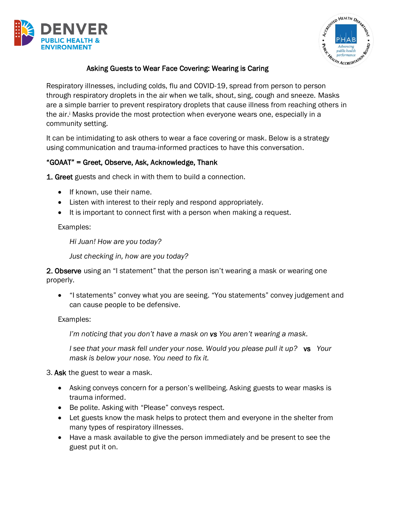



## Asking Guests to Wear Face Covering: Wearing is Caring

Respiratory illnesses, including colds, flu and COVID-19, spread from person to person through respiratory droplets in the air when we talk, shout, sing, cough and sneeze. Masks are a simple barrier to prevent respiratory droplets that cause illness from reaching others in the air. <sup>i</sup> Masks provide the most protection when everyone wears one, especially in a community setting.

It can be intimidating to ask others to wear a face covering or mask. Below is a strategy using communication and trauma-informed practices to have this conversation.

## "GOAAT" = Greet, Observe, Ask, Acknowledge, Thank

1. Greet guests and check in with them to build a connection.

- If known, use their name.
- Listen with interest to their reply and respond appropriately.
- It is important to connect first with a person when making a request.

Examples:

*Hi Juan! How are you today?*

*Just checking in, how are you today?*

2. Observe using an "I statement" that the person isn't wearing a mask or wearing one properly.

• "I statements" convey what you are seeing. "You statements" convey judgement and can cause people to be defensive.

Examples:

*I'm noticing that you don't have a mask on vs You aren't wearing a mask.*

*I see that your mask fell under your nose. Would you please pull it up?* vs *Your mask is below your nose. You need to fix it.*

3. Ask the guest to wear a mask.

- Asking conveys concern for a person's wellbeing. Asking guests to wear masks is trauma informed.
- Be polite. Asking with "Please" conveys respect.
- Let guests know the mask helps to protect them and everyone in the shelter from many types of respiratory illnesses.
- Have a mask available to give the person immediately and be present to see the guest put it on.